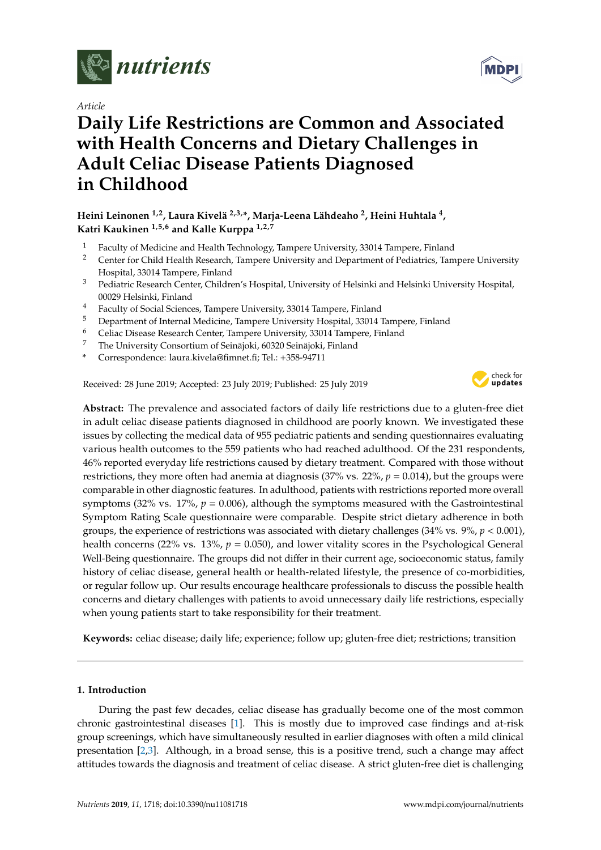

# *Article*

# **Daily Life Restrictions are Common and Associated with Health Concerns and Dietary Challenges in Adult Celiac Disease Patients Diagnosed in Childhood**

# **Heini Leinonen 1,2, Laura Kivelä 2,3,\*, Marja-Leena Lähdeaho <sup>2</sup> , Heini Huhtala <sup>4</sup> , Katri Kaukinen 1,5,6 and Kalle Kurppa 1,2,7**

- <sup>1</sup> Faculty of Medicine and Health Technology, Tampere University, 33014 Tampere, Finland
- <sup>2</sup> Center for Child Health Research, Tampere University and Department of Pediatrics, Tampere University Hospital, 33014 Tampere, Finland
- <sup>3</sup> Pediatric Research Center, Children's Hospital, University of Helsinki and Helsinki University Hospital, 00029 Helsinki, Finland
- <sup>4</sup> Faculty of Social Sciences, Tampere University, 33014 Tampere, Finland
- <sup>5</sup> Department of Internal Medicine, Tampere University Hospital, 33014 Tampere, Finland
- <sup>6</sup> Celiac Disease Research Center, Tampere University, 33014 Tampere, Finland
- <sup>7</sup> The University Consortium of Seinäjoki, 60320 Seinäjoki, Finland
- **\*** Correspondence: laura.kivela@fimnet.fi; Tel.: +358-94711

Received: 28 June 2019; Accepted: 23 July 2019; Published: 25 July 2019



**Abstract:** The prevalence and associated factors of daily life restrictions due to a gluten-free diet in adult celiac disease patients diagnosed in childhood are poorly known. We investigated these issues by collecting the medical data of 955 pediatric patients and sending questionnaires evaluating various health outcomes to the 559 patients who had reached adulthood. Of the 231 respondents, 46% reported everyday life restrictions caused by dietary treatment. Compared with those without restrictions, they more often had anemia at diagnosis (37% vs. 22%,  $p = 0.014$ ), but the groups were comparable in other diagnostic features. In adulthood, patients with restrictions reported more overall symptoms (32% vs.  $17\%$ ,  $p = 0.006$ ), although the symptoms measured with the Gastrointestinal Symptom Rating Scale questionnaire were comparable. Despite strict dietary adherence in both groups, the experience of restrictions was associated with dietary challenges (34% vs. 9%, *p* < 0.001), health concerns (22% vs. 13%, *p* = 0.050), and lower vitality scores in the Psychological General Well-Being questionnaire. The groups did not differ in their current age, socioeconomic status, family history of celiac disease, general health or health-related lifestyle, the presence of co-morbidities, or regular follow up. Our results encourage healthcare professionals to discuss the possible health concerns and dietary challenges with patients to avoid unnecessary daily life restrictions, especially when young patients start to take responsibility for their treatment.

**Keywords:** celiac disease; daily life; experience; follow up; gluten-free diet; restrictions; transition

## **1. Introduction**

During the past few decades, celiac disease has gradually become one of the most common chronic gastrointestinal diseases [\[1\]](#page-7-0). This is mostly due to improved case findings and at-risk group screenings, which have simultaneously resulted in earlier diagnoses with often a mild clinical presentation [\[2,](#page-7-1)[3\]](#page-7-2). Although, in a broad sense, this is a positive trend, such a change may affect attitudes towards the diagnosis and treatment of celiac disease. A strict gluten-free diet is challenging

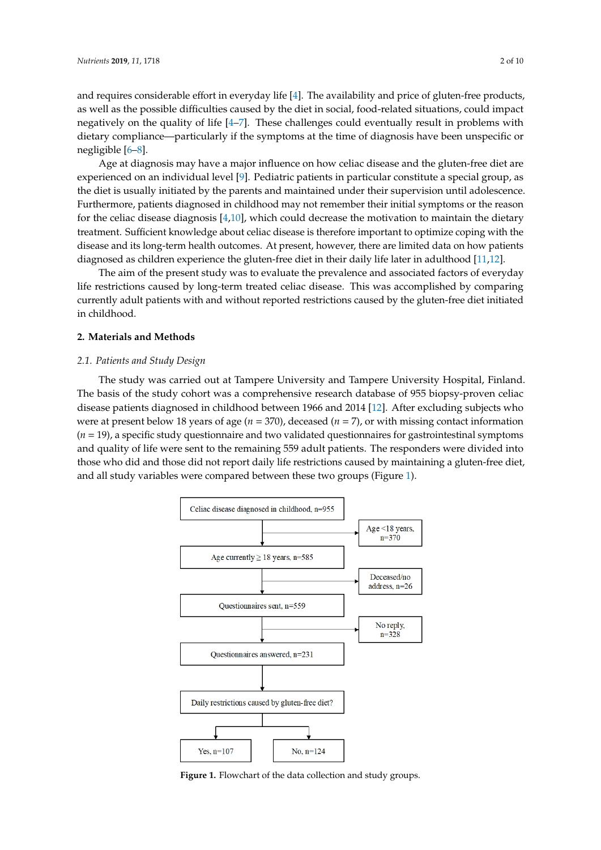and requires considerable effort in everyday life [\[4\]](#page-7-3). The availability and price of gluten-free products, as well as the possible difficulties caused by the diet in social, food-related situations, could impact negatively on the quality of life  $[4-7]$  $[4-7]$ . These challenges could eventually result in problems with dietary compliance—particularly if the symptoms at the time of diagnosis have been unspecific or negligible [\[6–](#page-7-5)[8\]](#page-7-6).  $\frac{1}{\sqrt{2}}$  in  $\frac{1}{\sqrt{2}}$  in  $\frac{1}{\sqrt{2}}$  in  $\frac{1}{\sqrt{2}}$  on  $\frac{1}{\sqrt{2}}$  in  $\frac{1}{\sqrt{2}}$  in  $\frac{1}{\sqrt{2}}$  in  $\frac{1}{\sqrt{2}}$  in  $\frac{1}{\sqrt{2}}$  in  $\frac{1}{\sqrt{2}}$  in  $\frac{1}{\sqrt{2}}$  in  $\frac{1}{\sqrt{2}}$  in  $\frac{1}{\sqrt{2}}$  in  $\frac{1}{\sqrt{2}}$ 

 $\frac{6}{5}$  or  $\frac{1}{1}$ . experienced on an individual level [\[9\]](#page-7-7). Pediatric patients in particular constitute a special group, as the diet is usually initiated by the parents and maintained under their supervision until adolescence. Furthermore, patients diagnosed in childhood may not remember their initial symptoms or the reason for the celiac disease diagnosis [\[4](#page-7-3)[,10\]](#page-7-8), which could decrease the motivation to maintain the dietary treatment. Sufficient knowledge about celiac disease is therefore important to optimize coping with the disease and its long-term health outcomes. At present, however, there are limited data on how patients diagnosed as children experience the gluten-free diet in their daily life later in adulthood [\[11,](#page-8-0)[12\]](#page-8-1).

The aim of the present study was to evaluate the prevalence and associated factors of everyday life restrictions caused by long-term treated celiac disease. This was accomplished by comparing life restrictions caused by long-term treated celiac disease. This was accomplished by comparing currently adult patients with and without reported restrictions caused by the gluten-free diet initiated currently adult patients with and without reported restrictions caused by the gluten-free diet initiated in childhood. in childhood.

# **2. Materials and Methods 2. Materials and Methods**

## *2.1. Patients and Study Design 2.1. Patients and Study Design*

The study was carried out at Tampere University and Tampere University Hospital, Finland. The study was carried out at Tampere University and Tampere University Hospital, Finland. The basis of the study cohort was a comprehensive research database of 955 biopsy-proven celiac The basis of the study cohort was a comprehensive research database of 955 biopsy-proven celiac disease patients diagnosed in childhood between 1966 and 2014 [\[12\]](#page-8-1). After excluding subjects who disease patients diagnosed in childhood between 1966 and 2014 [12]. After excluding subjects who were at present below 18 years of age ( $n = 370$ ), deceased ( $n = 7$ ), or with missing contact information (*n* = 19), a specific study questionnaire and two validated questionnaires for gastrointestinal symptoms (*n* = 19), a specific study questionnaire and two validated questionnaires for gastrointestinal and quality of life were sent to the remaining 559 adult patients. The responders were divided into those who did and those did not report daily life restrictions caused by maintaining a gluten-free diet, and all study variables were compared between these two gr[ou](#page-1-0)ps (Figure 1).

<span id="page-1-0"></span>

**Figure 1.** Flowchart of the data collection and study groups. **Figure 1.** Flowchart of the data collection and study groups.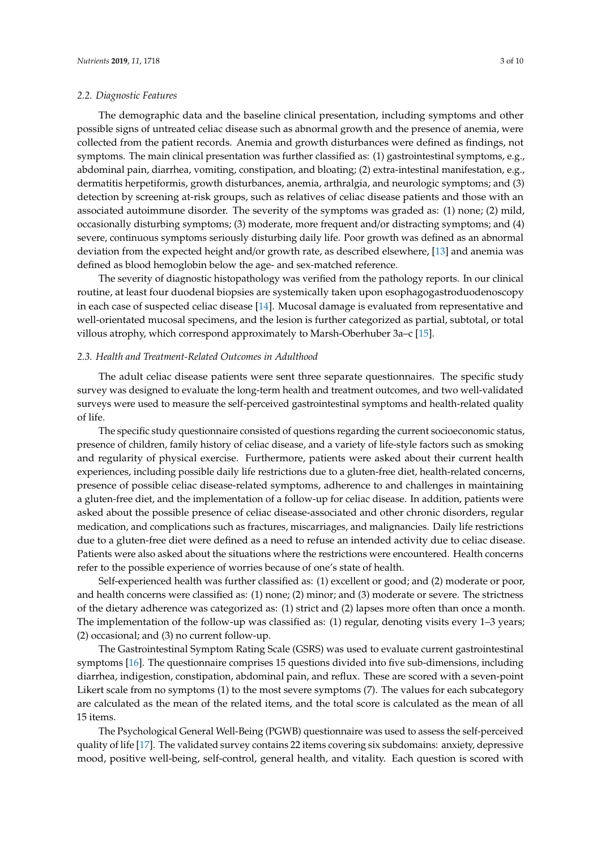#### *2.2. Diagnostic Features*

The demographic data and the baseline clinical presentation, including symptoms and other possible signs of untreated celiac disease such as abnormal growth and the presence of anemia, were collected from the patient records. Anemia and growth disturbances were defined as findings, not symptoms. The main clinical presentation was further classified as: (1) gastrointestinal symptoms, e.g., abdominal pain, diarrhea, vomiting, constipation, and bloating; (2) extra-intestinal manifestation, e.g., dermatitis herpetiformis, growth disturbances, anemia, arthralgia, and neurologic symptoms; and (3) detection by screening at-risk groups, such as relatives of celiac disease patients and those with an associated autoimmune disorder. The severity of the symptoms was graded as: (1) none; (2) mild, occasionally disturbing symptoms; (3) moderate, more frequent and/or distracting symptoms; and (4) severe, continuous symptoms seriously disturbing daily life. Poor growth was defined as an abnormal deviation from the expected height and/or growth rate, as described elsewhere, [\[13\]](#page-8-2) and anemia was defined as blood hemoglobin below the age- and sex-matched reference.

The severity of diagnostic histopathology was verified from the pathology reports. In our clinical routine, at least four duodenal biopsies are systemically taken upon esophagogastroduodenoscopy in each case of suspected celiac disease [\[14\]](#page-8-3). Mucosal damage is evaluated from representative and well-orientated mucosal specimens, and the lesion is further categorized as partial, subtotal, or total villous atrophy, which correspond approximately to Marsh-Oberhuber 3a–c [\[15\]](#page-8-4).

#### *2.3. Health and Treatment-Related Outcomes in Adulthood*

The adult celiac disease patients were sent three separate questionnaires. The specific study survey was designed to evaluate the long-term health and treatment outcomes, and two well-validated surveys were used to measure the self-perceived gastrointestinal symptoms and health-related quality of life.

The specific study questionnaire consisted of questions regarding the current socioeconomic status, presence of children, family history of celiac disease, and a variety of life-style factors such as smoking and regularity of physical exercise. Furthermore, patients were asked about their current health experiences, including possible daily life restrictions due to a gluten-free diet, health-related concerns, presence of possible celiac disease-related symptoms, adherence to and challenges in maintaining a gluten-free diet, and the implementation of a follow-up for celiac disease. In addition, patients were asked about the possible presence of celiac disease-associated and other chronic disorders, regular medication, and complications such as fractures, miscarriages, and malignancies. Daily life restrictions due to a gluten-free diet were defined as a need to refuse an intended activity due to celiac disease. Patients were also asked about the situations where the restrictions were encountered. Health concerns refer to the possible experience of worries because of one's state of health.

Self-experienced health was further classified as: (1) excellent or good; and (2) moderate or poor, and health concerns were classified as: (1) none; (2) minor; and (3) moderate or severe. The strictness of the dietary adherence was categorized as: (1) strict and (2) lapses more often than once a month. The implementation of the follow-up was classified as: (1) regular, denoting visits every 1–3 years; (2) occasional; and (3) no current follow-up.

The Gastrointestinal Symptom Rating Scale (GSRS) was used to evaluate current gastrointestinal symptoms [\[16\]](#page-8-5). The questionnaire comprises 15 questions divided into five sub-dimensions, including diarrhea, indigestion, constipation, abdominal pain, and reflux. These are scored with a seven-point Likert scale from no symptoms (1) to the most severe symptoms (7). The values for each subcategory are calculated as the mean of the related items, and the total score is calculated as the mean of all 15 items.

The Psychological General Well-Being (PGWB) questionnaire was used to assess the self-perceived quality of life [\[17\]](#page-8-6). The validated survey contains 22 items covering six subdomains: anxiety, depressive mood, positive well-being, self-control, general health, and vitality. Each question is scored with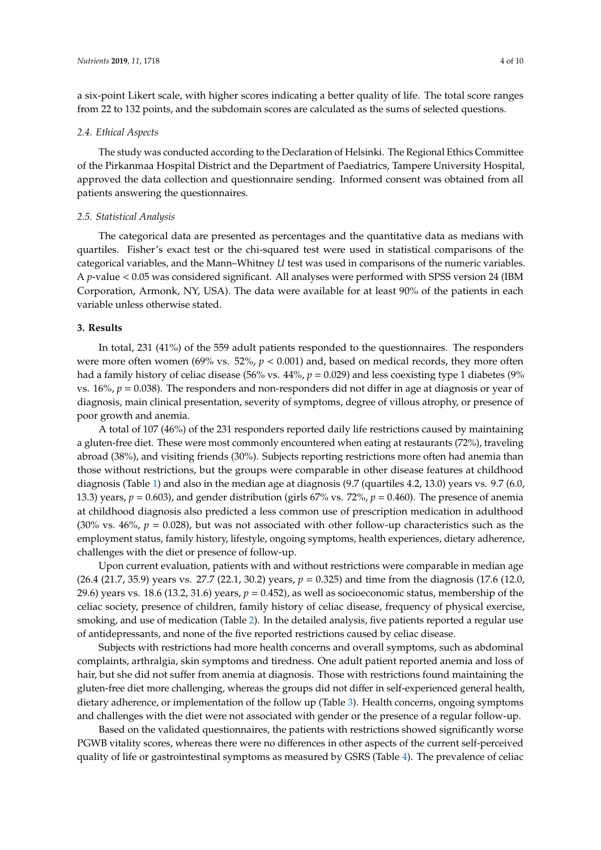a six-point Likert scale, with higher scores indicating a better quality of life. The total score ranges from 22 to 132 points, and the subdomain scores are calculated as the sums of selected questions.

#### *2.4. Ethical Aspects*

The study was conducted according to the Declaration of Helsinki. The Regional Ethics Committee of the Pirkanmaa Hospital District and the Department of Paediatrics, Tampere University Hospital, approved the data collection and questionnaire sending. Informed consent was obtained from all patients answering the questionnaires.

#### *2.5. Statistical Analysis*

The categorical data are presented as percentages and the quantitative data as medians with quartiles. Fisher's exact test or the chi-squared test were used in statistical comparisons of the categorical variables, and the Mann–Whitney *U* test was used in comparisons of the numeric variables. A *p*-value < 0.05 was considered significant. All analyses were performed with SPSS version 24 (IBM Corporation, Armonk, NY, USA). The data were available for at least 90% of the patients in each variable unless otherwise stated.

#### **3. Results**

In total, 231 (41%) of the 559 adult patients responded to the questionnaires. The responders were more often women (69% vs. 52%,  $p < 0.001$ ) and, based on medical records, they more often had a family history of celiac disease (56% vs. 44%, *p* = 0.029) and less coexisting type 1 diabetes (9% vs. 16%, *p* = 0.038). The responders and non-responders did not differ in age at diagnosis or year of diagnosis, main clinical presentation, severity of symptoms, degree of villous atrophy, or presence of poor growth and anemia.

A total of 107 (46%) of the 231 responders reported daily life restrictions caused by maintaining a gluten-free diet. These were most commonly encountered when eating at restaurants (72%), traveling abroad (38%), and visiting friends (30%). Subjects reporting restrictions more often had anemia than those without restrictions, but the groups were comparable in other disease features at childhood diagnosis (Table [1\)](#page-4-0) and also in the median age at diagnosis (9.7 (quartiles 4.2, 13.0) years vs. 9.7 (6.0, 13.3) years,  $p = 0.603$ ), and gender distribution (girls 67% vs. 72%,  $p = 0.460$ ). The presence of anemia at childhood diagnosis also predicted a less common use of prescription medication in adulthood (30% vs.  $46\%$ ,  $p = 0.028$ ), but was not associated with other follow-up characteristics such as the employment status, family history, lifestyle, ongoing symptoms, health experiences, dietary adherence, challenges with the diet or presence of follow-up.

Upon current evaluation, patients with and without restrictions were comparable in median age (26.4 (21.7, 35.9) years vs. 27.7 (22.1, 30.2) years, *p* = 0.325) and time from the diagnosis (17.6 (12.0, 29.6) years vs. 18.6 (13.2, 31.6) years, *p* = 0.452), as well as socioeconomic status, membership of the celiac society, presence of children, family history of celiac disease, frequency of physical exercise, smoking, and use of medication (Table [2\)](#page-4-1). In the detailed analysis, five patients reported a regular use of antidepressants, and none of the five reported restrictions caused by celiac disease.

Subjects with restrictions had more health concerns and overall symptoms, such as abdominal complaints, arthralgia, skin symptoms and tiredness. One adult patient reported anemia and loss of hair, but she did not suffer from anemia at diagnosis. Those with restrictions found maintaining the gluten-free diet more challenging, whereas the groups did not differ in self-experienced general health, dietary adherence, or implementation of the follow up (Table [3\)](#page-5-0). Health concerns, ongoing symptoms and challenges with the diet were not associated with gender or the presence of a regular follow-up.

Based on the validated questionnaires, the patients with restrictions showed significantly worse PGWB vitality scores, whereas there were no differences in other aspects of the current self-perceived quality of life or gastrointestinal symptoms as measured by GSRS (Table [4\)](#page-5-1). The prevalence of celiac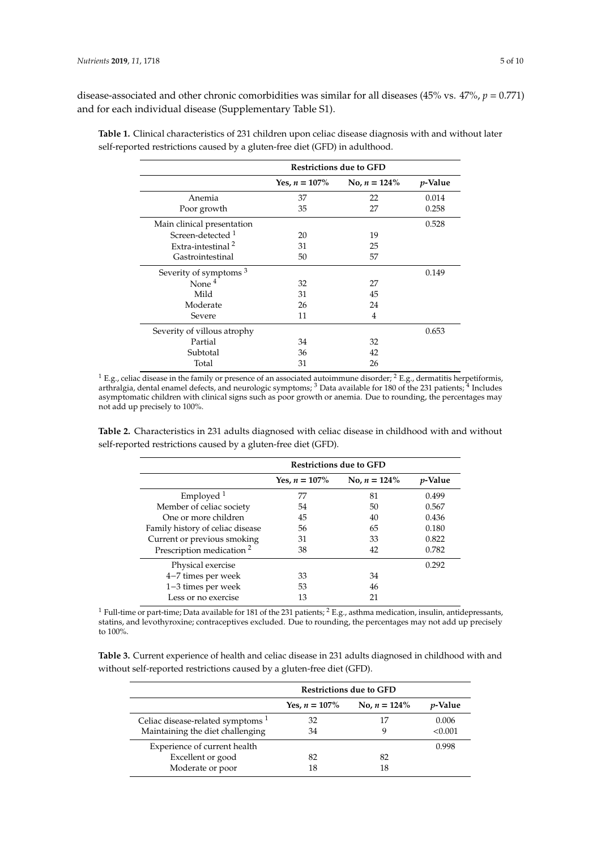disease-associated and other chronic comorbidities was similar for all diseases (45% vs. 47%, *p* = 0.771) and for each individual disease (Supplementary Table S1).

|                                   | <b>Restrictions due to GFD</b> |                 |                 |
|-----------------------------------|--------------------------------|-----------------|-----------------|
|                                   | Yes, $n = 107\%$               | No, $n = 124\%$ | <i>p</i> -Value |
| Anemia                            | 37                             | 22              | 0.014           |
| Poor growth                       | 35                             | 27              | 0.258           |
| Main clinical presentation        |                                |                 | 0.528           |
| Screen-detected <sup>1</sup>      | 20                             | 19              |                 |
| Extra-intestinal <sup>2</sup>     | 31                             | 25              |                 |
| Gastrointestinal                  | 50                             | 57              |                 |
| Severity of symptoms <sup>3</sup> |                                |                 | 0.149           |
| None $4$                          | 32                             | 27              |                 |
| Mild                              | 31                             | 45              |                 |
| Moderate                          | 26                             | 24              |                 |
| Severe                            | 11                             | 4               |                 |
| Severity of villous atrophy       |                                |                 | 0.653           |
| Partial                           | 34                             | 32              |                 |
| Subtotal                          | 36                             | 42              |                 |
| Total                             | 31                             | 26              |                 |
|                                   |                                |                 |                 |

<span id="page-4-0"></span>**Table 1.** Clinical characteristics of 231 children upon celiac disease diagnosis with and without later self-reported restrictions caused by a gluten-free diet (GFD) in adulthood.

<sup>1</sup> E.g., celiac disease in the family or presence of an associated autoimmune disorder; <sup>2</sup> E.g., dermatitis herpetiformis, arthralgia, dental enamel defects, and neurologic symptoms;  $^3$  Data available for 180 of the 231 patients;  $^4$  Includes asymptomatic children with clinical signs such as poor growth or anemia. Due to rounding, the percentages may not add up precisely to 100%.

<span id="page-4-1"></span>**Table 2.** Characteristics in 231 adults diagnosed with celiac disease in childhood with and without self-reported restrictions caused by a gluten-free diet (GFD).

|                                      | <b>Restrictions due to GFD</b> |                 |                 |
|--------------------------------------|--------------------------------|-----------------|-----------------|
|                                      | Yes, $n = 107\%$               | No, $n = 124\%$ | <i>v</i> -Value |
| Employed $1$                         | 77                             | 81              | 0.499           |
| Member of celiac society             | 54                             | 50              | 0.567           |
| One or more children                 | 45                             | 40              | 0.436           |
| Family history of celiac disease     | 56                             | 65              | 0.180           |
| Current or previous smoking          | 31                             | 33              | 0.822           |
| Prescription medication <sup>2</sup> | 38                             | 42              | 0.782           |
| Physical exercise                    |                                |                 | 0.292           |
| 4-7 times per week                   | 33                             | 34              |                 |
| 1-3 times per week                   | 53                             | 46              |                 |
| Less or no exercise                  | 13                             | 21              |                 |

<sup>1</sup> Full-time or part-time; Data available for 181 of the 231 patients;  $^2$  E.g., asthma medication, insulin, antidepressants, statins, and levothyroxine; contraceptives excluded. Due to rounding, the percentages may not add up precisely to 100%.

**Table 3.** Current experience of health and celiac disease in 231 adults diagnosed in childhood with and without self-reported restrictions caused by a gluten-free diet (GFD).

|                                                                                  | <b>Restrictions due to GFD</b> |                 |                  |
|----------------------------------------------------------------------------------|--------------------------------|-----------------|------------------|
|                                                                                  | Yes, $n = 107\%$               | No, $n = 124\%$ | <i>v</i> -Value  |
| Celiac disease-related symptoms <sup>1</sup><br>Maintaining the diet challenging | 32<br>34                       | 17<br>g         | 0.006<br>< 0.001 |
| Experience of current health<br>Excellent or good<br>Moderate or poor            | 82<br>18                       | 82<br>18        | 0.998            |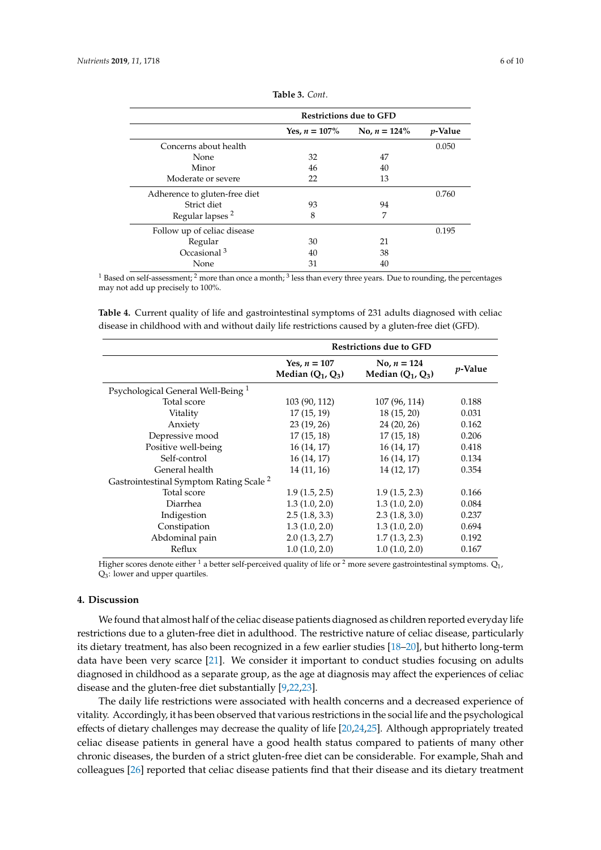<span id="page-5-0"></span>

|                               | <b>Restrictions due to GFD</b> |                 |                 |
|-------------------------------|--------------------------------|-----------------|-----------------|
|                               | Yes, $n = 107\%$               | No, $n = 124\%$ | <i>p</i> -Value |
| Concerns about health         |                                |                 | 0.050           |
| None                          | 32                             | 47              |                 |
| Minor                         | 46                             | 40              |                 |
| Moderate or severe            | 22                             | 13              |                 |
| Adherence to gluten-free diet |                                |                 | 0.760           |
| Strict diet                   | 93                             | 94              |                 |
| Regular lapses <sup>2</sup>   | 8                              | 7               |                 |
| Follow up of celiac disease   |                                |                 | 0.195           |
| Regular                       | 30                             | 21              |                 |
| Occasional <sup>3</sup>       | 40                             | 38              |                 |
| None                          | 31                             | 40              |                 |

**Table 3.** *Cont*.

 $^1$  Based on self-assessment;  $^2$  more than once a month;  $^3$  less than every three years. Due to rounding, the percentages may not add up precisely to 100%.

<span id="page-5-1"></span>**Table 4.** Current quality of life and gastrointestinal symptoms of 231 adults diagnosed with celiac disease in childhood with and without daily life restrictions caused by a gluten-free diet (GFD).

|                                                    | <b>Restrictions due to GFD</b>        |                                      |                 |
|----------------------------------------------------|---------------------------------------|--------------------------------------|-----------------|
|                                                    | Yes, $n = 107$<br>Median $(Q_1, Q_3)$ | No, $n = 124$<br>Median $(Q_1, Q_3)$ | <i>p</i> -Value |
| Psychological General Well-Being <sup>1</sup>      |                                       |                                      |                 |
| Total score                                        | 103 (90, 112)                         | 107 (96, 114)                        | 0.188           |
| Vitality                                           | 17(15, 19)                            | 18(15, 20)                           | 0.031           |
| Anxiety                                            | 23(19, 26)                            | 24 (20, 26)                          | 0.162           |
| Depressive mood                                    | 17(15, 18)                            | 17(15, 18)                           | 0.206           |
| Positive well-being                                | 16(14, 17)                            | 16(14, 17)                           | 0.418           |
| Self-control                                       | 16(14, 17)                            | 16(14, 17)                           | 0.134           |
| General health                                     | 14(11, 16)                            | 14 (12, 17)                          | 0.354           |
| Gastrointestinal Symptom Rating Scale <sup>2</sup> |                                       |                                      |                 |
| Total score                                        | 1.9(1.5, 2.5)                         | 1.9(1.5, 2.3)                        | 0.166           |
| Diarrhea                                           | 1.3(1.0, 2.0)                         | 1.3(1.0, 2.0)                        | 0.084           |
| Indigestion                                        | 2.5(1.8, 3.3)                         | 2.3(1.8, 3.0)                        | 0.237           |
| Constipation                                       | 1.3(1.0, 2.0)                         | 1.3(1.0, 2.0)                        | 0.694           |
| Abdominal pain                                     | 2.0(1.3, 2.7)                         | 1.7(1.3, 2.3)                        | 0.192           |
| Reflux                                             | 1.0(1.0, 2.0)                         | 1.0(1.0, 2.0)                        | 0.167           |

Higher scores denote either <sup>1</sup> a better self-perceived quality of life or <sup>2</sup> more severe gastrointestinal symptoms.  $Q_1$ , Q3: lower and upper quartiles.

#### **4. Discussion**

We found that almost half of the celiac disease patients diagnosed as children reported everyday life restrictions due to a gluten-free diet in adulthood. The restrictive nature of celiac disease, particularly its dietary treatment, has also been recognized in a few earlier studies [\[18](#page-8-7)[–20\]](#page-8-8), but hitherto long-term data have been very scarce [\[21\]](#page-8-9). We consider it important to conduct studies focusing on adults diagnosed in childhood as a separate group, as the age at diagnosis may affect the experiences of celiac disease and the gluten-free diet substantially [\[9,](#page-7-7)[22,](#page-8-10)[23\]](#page-8-11).

The daily life restrictions were associated with health concerns and a decreased experience of vitality. Accordingly, it has been observed that various restrictions in the social life and the psychological effects of dietary challenges may decrease the quality of life [\[20,](#page-8-8)[24](#page-8-12)[,25\]](#page-8-13). Although appropriately treated celiac disease patients in general have a good health status compared to patients of many other chronic diseases, the burden of a strict gluten-free diet can be considerable. For example, Shah and colleagues [\[26\]](#page-8-14) reported that celiac disease patients find that their disease and its dietary treatment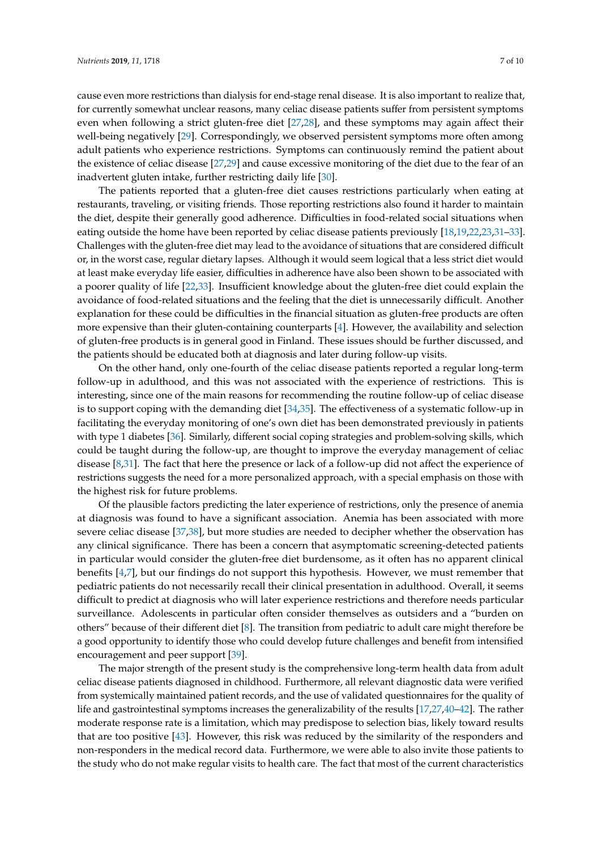cause even more restrictions than dialysis for end-stage renal disease. It is also important to realize that, for currently somewhat unclear reasons, many celiac disease patients suffer from persistent symptoms even when following a strict gluten-free diet [\[27,](#page-8-15)[28\]](#page-8-16), and these symptoms may again affect their well-being negatively [\[29\]](#page-8-17). Correspondingly, we observed persistent symptoms more often among adult patients who experience restrictions. Symptoms can continuously remind the patient about the existence of celiac disease [\[27](#page-8-15)[,29\]](#page-8-17) and cause excessive monitoring of the diet due to the fear of an inadvertent gluten intake, further restricting daily life [\[30\]](#page-9-0).

The patients reported that a gluten-free diet causes restrictions particularly when eating at restaurants, traveling, or visiting friends. Those reporting restrictions also found it harder to maintain the diet, despite their generally good adherence. Difficulties in food-related social situations when eating outside the home have been reported by celiac disease patients previously [\[18](#page-8-7)[,19](#page-8-18)[,22,](#page-8-10)[23,](#page-8-11)[31–](#page-9-1)[33\]](#page-9-2). Challenges with the gluten-free diet may lead to the avoidance of situations that are considered difficult or, in the worst case, regular dietary lapses. Although it would seem logical that a less strict diet would at least make everyday life easier, difficulties in adherence have also been shown to be associated with a poorer quality of life [\[22](#page-8-10)[,33\]](#page-9-2). Insufficient knowledge about the gluten-free diet could explain the avoidance of food-related situations and the feeling that the diet is unnecessarily difficult. Another explanation for these could be difficulties in the financial situation as gluten-free products are often more expensive than their gluten-containing counterparts [\[4\]](#page-7-3). However, the availability and selection of gluten-free products is in general good in Finland. These issues should be further discussed, and the patients should be educated both at diagnosis and later during follow-up visits.

On the other hand, only one-fourth of the celiac disease patients reported a regular long-term follow-up in adulthood, and this was not associated with the experience of restrictions. This is interesting, since one of the main reasons for recommending the routine follow-up of celiac disease is to support coping with the demanding diet [\[34](#page-9-3)[,35\]](#page-9-4). The effectiveness of a systematic follow-up in facilitating the everyday monitoring of one's own diet has been demonstrated previously in patients with type 1 diabetes [\[36\]](#page-9-5). Similarly, different social coping strategies and problem-solving skills, which could be taught during the follow-up, are thought to improve the everyday management of celiac disease [\[8,](#page-7-6)[31\]](#page-9-1). The fact that here the presence or lack of a follow-up did not affect the experience of restrictions suggests the need for a more personalized approach, with a special emphasis on those with the highest risk for future problems.

Of the plausible factors predicting the later experience of restrictions, only the presence of anemia at diagnosis was found to have a significant association. Anemia has been associated with more severe celiac disease [\[37](#page-9-6)[,38\]](#page-9-7), but more studies are needed to decipher whether the observation has any clinical significance. There has been a concern that asymptomatic screening-detected patients in particular would consider the gluten-free diet burdensome, as it often has no apparent clinical benefits [\[4](#page-7-3)[,7\]](#page-7-4), but our findings do not support this hypothesis. However, we must remember that pediatric patients do not necessarily recall their clinical presentation in adulthood. Overall, it seems difficult to predict at diagnosis who will later experience restrictions and therefore needs particular surveillance. Adolescents in particular often consider themselves as outsiders and a "burden on others" because of their different diet [\[8\]](#page-7-6). The transition from pediatric to adult care might therefore be a good opportunity to identify those who could develop future challenges and benefit from intensified encouragement and peer support [\[39\]](#page-9-8).

The major strength of the present study is the comprehensive long-term health data from adult celiac disease patients diagnosed in childhood. Furthermore, all relevant diagnostic data were verified from systemically maintained patient records, and the use of validated questionnaires for the quality of life and gastrointestinal symptoms increases the generalizability of the results [\[17](#page-8-6)[,27](#page-8-15)[,40](#page-9-9)[–42\]](#page-9-10). The rather moderate response rate is a limitation, which may predispose to selection bias, likely toward results that are too positive [\[43\]](#page-9-11). However, this risk was reduced by the similarity of the responders and non-responders in the medical record data. Furthermore, we were able to also invite those patients to the study who do not make regular visits to health care. The fact that most of the current characteristics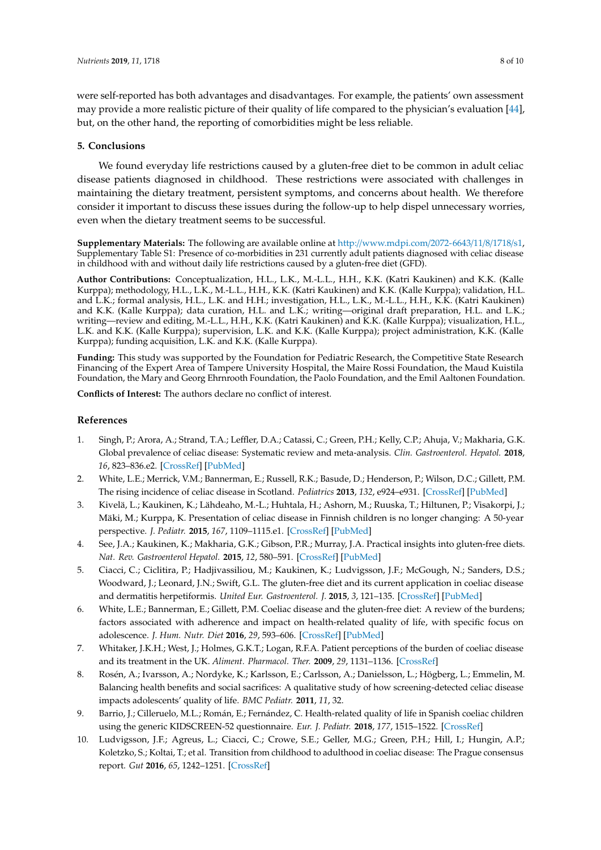were self-reported has both advantages and disadvantages. For example, the patients' own assessment may provide a more realistic picture of their quality of life compared to the physician's evaluation [\[44\]](#page-9-12), but, on the other hand, the reporting of comorbidities might be less reliable.

## **5. Conclusions**

We found everyday life restrictions caused by a gluten-free diet to be common in adult celiac disease patients diagnosed in childhood. These restrictions were associated with challenges in maintaining the dietary treatment, persistent symptoms, and concerns about health. We therefore consider it important to discuss these issues during the follow-up to help dispel unnecessary worries, even when the dietary treatment seems to be successful.

**Supplementary Materials:** The following are available online at http://[www.mdpi.com](http://www.mdpi.com/2072-6643/11/8/1718/s1)/2072-6643/11/8/1718/s1, Supplementary Table S1: Presence of co-morbidities in 231 currently adult patients diagnosed with celiac disease in childhood with and without daily life restrictions caused by a gluten-free diet (GFD).

**Author Contributions:** Conceptualization, H.L., L.K., M.-L.L., H.H., K.K. (Katri Kaukinen) and K.K. (Kalle Kurppa); methodology, H.L., L.K., M.-L.L., H.H., K.K. (Katri Kaukinen) and K.K. (Kalle Kurppa); validation, H.L. and L.K.; formal analysis, H.L., L.K. and H.H.; investigation, H.L., L.K., M.-L.L., H.H., K.K. (Katri Kaukinen) and K.K. (Kalle Kurppa); data curation, H.L. and L.K.; writing—original draft preparation, H.L. and L.K.; writing—review and editing, M.-L.L., H.H., K.K. (Katri Kaukinen) and K.K. (Kalle Kurppa); visualization, H.L., L.K. and K.K. (Kalle Kurppa); supervision, L.K. and K.K. (Kalle Kurppa); project administration, K.K. (Kalle Kurppa); funding acquisition, L.K. and K.K. (Kalle Kurppa).

**Funding:** This study was supported by the Foundation for Pediatric Research, the Competitive State Research Financing of the Expert Area of Tampere University Hospital, the Maire Rossi Foundation, the Maud Kuistila Foundation, the Mary and Georg Ehrnrooth Foundation, the Paolo Foundation, and the Emil Aaltonen Foundation.

**Conflicts of Interest:** The authors declare no conflict of interest.

### **References**

- <span id="page-7-0"></span>1. Singh, P.; Arora, A.; Strand, T.A.; Leffler, D.A.; Catassi, C.; Green, P.H.; Kelly, C.P.; Ahuja, V.; Makharia, G.K. Global prevalence of celiac disease: Systematic review and meta-analysis. *Clin. Gastroenterol. Hepatol.* **2018**, *16*, 823–836.e2. [\[CrossRef\]](http://dx.doi.org/10.1016/j.cgh.2017.06.037) [\[PubMed\]](http://www.ncbi.nlm.nih.gov/pubmed/29551598)
- <span id="page-7-1"></span>2. White, L.E.; Merrick, V.M.; Bannerman, E.; Russell, R.K.; Basude, D.; Henderson, P.; Wilson, D.C.; Gillett, P.M. The rising incidence of celiac disease in Scotland. *Pediatrics* **2013**, *132*, e924–e931. [\[CrossRef\]](http://dx.doi.org/10.1542/peds.2013-0932) [\[PubMed\]](http://www.ncbi.nlm.nih.gov/pubmed/24019416)
- <span id="page-7-2"></span>3. Kivelä, L.; Kaukinen, K.; Lähdeaho, M.-L.; Huhtala, H.; Ashorn, M.; Ruuska, T.; Hiltunen, P.; Visakorpi, J.; Mäki, M.; Kurppa, K. Presentation of celiac disease in Finnish children is no longer changing: A 50-year perspective. *J. Pediatr.* **2015**, *167*, 1109–1115.e1. [\[CrossRef\]](http://dx.doi.org/10.1016/j.jpeds.2015.07.057) [\[PubMed\]](http://www.ncbi.nlm.nih.gov/pubmed/26316370)
- <span id="page-7-3"></span>4. See, J.A.; Kaukinen, K.; Makharia, G.K.; Gibson, P.R.; Murray, J.A. Practical insights into gluten-free diets. *Nat. Rev. Gastroenterol Hepatol.* **2015**, *12*, 580–591. [\[CrossRef\]](http://dx.doi.org/10.1038/nrgastro.2015.156) [\[PubMed\]](http://www.ncbi.nlm.nih.gov/pubmed/26392070)
- 5. Ciacci, C.; Ciclitira, P.; Hadjivassiliou, M.; Kaukinen, K.; Ludvigsson, J.F.; McGough, N.; Sanders, D.S.; Woodward, J.; Leonard, J.N.; Swift, G.L. The gluten-free diet and its current application in coeliac disease and dermatitis herpetiformis. *United Eur. Gastroenterol. J.* **2015**, *3*, 121–135. [\[CrossRef\]](http://dx.doi.org/10.1177/2050640614559263) [\[PubMed\]](http://www.ncbi.nlm.nih.gov/pubmed/25922672)
- <span id="page-7-5"></span>6. White, L.E.; Bannerman, E.; Gillett, P.M. Coeliac disease and the gluten-free diet: A review of the burdens; factors associated with adherence and impact on health-related quality of life, with specific focus on adolescence. *J. Hum. Nutr. Diet* **2016**, *29*, 593–606. [\[CrossRef\]](http://dx.doi.org/10.1111/jhn.12375) [\[PubMed\]](http://www.ncbi.nlm.nih.gov/pubmed/27214084)
- <span id="page-7-4"></span>7. Whitaker, J.K.H.; West, J.; Holmes, G.K.T.; Logan, R.F.A. Patient perceptions of the burden of coeliac disease and its treatment in the UK. *Aliment. Pharmacol. Ther.* **2009**, *29*, 1131–1136. [\[CrossRef\]](http://dx.doi.org/10.1111/j.1365-2036.2009.03983.x)
- <span id="page-7-6"></span>8. Rosén, A.; Ivarsson, A.; Nordyke, K.; Karlsson, E.; Carlsson, A.; Danielsson, L.; Högberg, L.; Emmelin, M. Balancing health benefits and social sacrifices: A qualitative study of how screening-detected celiac disease impacts adolescents' quality of life. *BMC Pediatr.* **2011**, *11*, 32.
- <span id="page-7-7"></span>9. Barrio, J.; Cilleruelo, M.L.; Román, E.; Fernández, C. Health-related quality of life in Spanish coeliac children using the generic KIDSCREEN-52 questionnaire. *Eur. J. Pediatr.* **2018**, *177*, 1515–1522. [\[CrossRef\]](http://dx.doi.org/10.1007/s00431-018-3204-0)
- <span id="page-7-8"></span>10. Ludvigsson, J.F.; Agreus, L.; Ciacci, C.; Crowe, S.E.; Geller, M.G.; Green, P.H.; Hill, I.; Hungin, A.P.; Koletzko, S.; Koltai, T.; et al. Transition from childhood to adulthood in coeliac disease: The Prague consensus report. *Gut* **2016**, *65*, 1242–1251. [\[CrossRef\]](http://dx.doi.org/10.1136/gutjnl-2016-311574)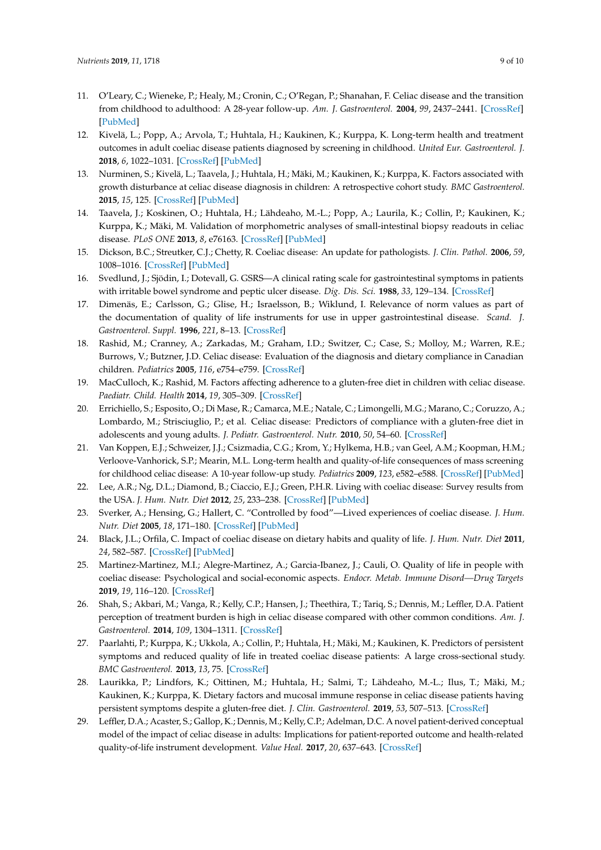- <span id="page-8-0"></span>11. O'Leary, C.; Wieneke, P.; Healy, M.; Cronin, C.; O'Regan, P.; Shanahan, F. Celiac disease and the transition from childhood to adulthood: A 28-year follow-up. *Am. J. Gastroenterol.* **2004**, *99*, 2437–2441. [\[CrossRef\]](http://dx.doi.org/10.1111/j.1572-0241.2004.40182.x) [\[PubMed\]](http://www.ncbi.nlm.nih.gov/pubmed/15571593)
- <span id="page-8-1"></span>12. Kivelä, L.; Popp, A.; Arvola, T.; Huhtala, H.; Kaukinen, K.; Kurppa, K. Long-term health and treatment outcomes in adult coeliac disease patients diagnosed by screening in childhood. *United Eur. Gastroenterol. J.* **2018**, *6*, 1022–1031. [\[CrossRef\]](http://dx.doi.org/10.1177/2050640618778386) [\[PubMed\]](http://www.ncbi.nlm.nih.gov/pubmed/30228890)
- <span id="page-8-2"></span>13. Nurminen, S.; Kivelä, L.; Taavela, J.; Huhtala, H.; Mäki, M.; Kaukinen, K.; Kurppa, K. Factors associated with growth disturbance at celiac disease diagnosis in children: A retrospective cohort study. *BMC Gastroenterol.* **2015**, *15*, 125. [\[CrossRef\]](http://dx.doi.org/10.1186/s12876-015-0357-4) [\[PubMed\]](http://www.ncbi.nlm.nih.gov/pubmed/26438321)
- <span id="page-8-3"></span>14. Taavela, J.; Koskinen, O.; Huhtala, H.; Lähdeaho, M.-L.; Popp, A.; Laurila, K.; Collin, P.; Kaukinen, K.; Kurppa, K.; Mäki, M. Validation of morphometric analyses of small-intestinal biopsy readouts in celiac disease. *PLoS ONE* **2013**, *8*, e76163. [\[CrossRef\]](http://dx.doi.org/10.1371/journal.pone.0076163) [\[PubMed\]](http://www.ncbi.nlm.nih.gov/pubmed/24146832)
- <span id="page-8-4"></span>15. Dickson, B.C.; Streutker, C.J.; Chetty, R. Coeliac disease: An update for pathologists. *J. Clin. Pathol.* **2006**, *59*, 1008–1016. [\[CrossRef\]](http://dx.doi.org/10.1136/jcp.2005.035345) [\[PubMed\]](http://www.ncbi.nlm.nih.gov/pubmed/17021129)
- <span id="page-8-5"></span>16. Svedlund, J.; Sjödin, I.; Dotevall, G. GSRS—A clinical rating scale for gastrointestinal symptoms in patients with irritable bowel syndrome and peptic ulcer disease. *Dig. Dis. Sci.* **1988**, *33*, 129–134. [\[CrossRef\]](http://dx.doi.org/10.1007/BF01535722)
- <span id="page-8-6"></span>17. Dimenäs, E.; Carlsson, G.; Glise, H.; Israelsson, B.; Wiklund, I. Relevance of norm values as part of the documentation of quality of life instruments for use in upper gastrointestinal disease. *Scand. J. Gastroenterol. Suppl.* **1996**, *221*, 8–13. [\[CrossRef\]](http://dx.doi.org/10.3109/00365529609095544)
- <span id="page-8-7"></span>18. Rashid, M.; Cranney, A.; Zarkadas, M.; Graham, I.D.; Switzer, C.; Case, S.; Molloy, M.; Warren, R.E.; Burrows, V.; Butzner, J.D. Celiac disease: Evaluation of the diagnosis and dietary compliance in Canadian children. *Pediatrics* **2005**, *116*, e754–e759. [\[CrossRef\]](http://dx.doi.org/10.1542/peds.2005-0904)
- <span id="page-8-18"></span>19. MacCulloch, K.; Rashid, M. Factors affecting adherence to a gluten-free diet in children with celiac disease. *Paediatr. Child. Health* **2014**, *19*, 305–309. [\[CrossRef\]](http://dx.doi.org/10.1093/pch/19.6.305)
- <span id="page-8-8"></span>20. Errichiello, S.; Esposito, O.; Di Mase, R.; Camarca, M.E.; Natale, C.; Limongelli, M.G.; Marano, C.; Coruzzo, A.; Lombardo, M.; Strisciuglio, P.; et al. Celiac disease: Predictors of compliance with a gluten-free diet in adolescents and young adults. *J. Pediatr. Gastroenterol. Nutr.* **2010**, *50*, 54–60. [\[CrossRef\]](http://dx.doi.org/10.1097/MPG.0b013e31819de82a)
- <span id="page-8-9"></span>21. Van Koppen, E.J.; Schweizer, J.J.; Csizmadia, C.G.; Krom, Y.; Hylkema, H.B.; van Geel, A.M.; Koopman, H.M.; Verloove-Vanhorick, S.P.; Mearin, M.L. Long-term health and quality-of-life consequences of mass screening for childhood celiac disease: A 10-year follow-up study. *Pediatrics* **2009**, *123*, e582–e588. [\[CrossRef\]](http://dx.doi.org/10.1542/peds.2008-2221) [\[PubMed\]](http://www.ncbi.nlm.nih.gov/pubmed/19336349)
- <span id="page-8-10"></span>22. Lee, A.R.; Ng, D.L.; Diamond, B.; Ciaccio, E.J.; Green, P.H.R. Living with coeliac disease: Survey results from the USA. *J. Hum. Nutr. Diet* **2012**, *25*, 233–238. [\[CrossRef\]](http://dx.doi.org/10.1111/j.1365-277X.2012.01236.x) [\[PubMed\]](http://www.ncbi.nlm.nih.gov/pubmed/22364496)
- <span id="page-8-11"></span>23. Sverker, A.; Hensing, G.; Hallert, C. "Controlled by food"—Lived experiences of coeliac disease. *J. Hum. Nutr. Diet* **2005**, *18*, 171–180. [\[CrossRef\]](http://dx.doi.org/10.1111/j.1365-277X.2005.00591.x) [\[PubMed\]](http://www.ncbi.nlm.nih.gov/pubmed/15882379)
- <span id="page-8-12"></span>24. Black, J.L.; Orfila, C. Impact of coeliac disease on dietary habits and quality of life. *J. Hum. Nutr. Diet* **2011**, *24*, 582–587. [\[CrossRef\]](http://dx.doi.org/10.1111/j.1365-277X.2011.01170.x) [\[PubMed\]](http://www.ncbi.nlm.nih.gov/pubmed/21615555)
- <span id="page-8-13"></span>25. Martinez-Martinez, M.I.; Alegre-Martinez, A.; Garcia-Ibanez, J.; Cauli, O. Quality of life in people with coeliac disease: Psychological and social-economic aspects. *Endocr. Metab. Immune Disord—Drug Targets* **2019**, *19*, 116–120. [\[CrossRef\]](http://dx.doi.org/10.2174/1871530318666180723100003)
- <span id="page-8-14"></span>26. Shah, S.; Akbari, M.; Vanga, R.; Kelly, C.P.; Hansen, J.; Theethira, T.; Tariq, S.; Dennis, M.; Leffler, D.A. Patient perception of treatment burden is high in celiac disease compared with other common conditions. *Am. J. Gastroenterol.* **2014**, *109*, 1304–1311. [\[CrossRef\]](http://dx.doi.org/10.1038/ajg.2014.29)
- <span id="page-8-15"></span>27. Paarlahti, P.; Kurppa, K.; Ukkola, A.; Collin, P.; Huhtala, H.; Mäki, M.; Kaukinen, K. Predictors of persistent symptoms and reduced quality of life in treated coeliac disease patients: A large cross-sectional study. *BMC Gastroenterol.* **2013**, *13*, 75. [\[CrossRef\]](http://dx.doi.org/10.1186/1471-230X-13-75)
- <span id="page-8-16"></span>28. Laurikka, P.; Lindfors, K.; Oittinen, M.; Huhtala, H.; Salmi, T.; Lähdeaho, M.-L.; Ilus, T.; Mäki, M.; Kaukinen, K.; Kurppa, K. Dietary factors and mucosal immune response in celiac disease patients having persistent symptoms despite a gluten-free diet. *J. Clin. Gastroenterol.* **2019**, *53*, 507–513. [\[CrossRef\]](http://dx.doi.org/10.1097/MCG.0000000000001013)
- <span id="page-8-17"></span>29. Leffler, D.A.; Acaster, S.; Gallop, K.; Dennis, M.; Kelly, C.P.; Adelman, D.C. A novel patient-derived conceptual model of the impact of celiac disease in adults: Implications for patient-reported outcome and health-related quality-of-life instrument development. *Value Heal.* **2017**, *20*, 637–643. [\[CrossRef\]](http://dx.doi.org/10.1016/j.jval.2016.12.016)